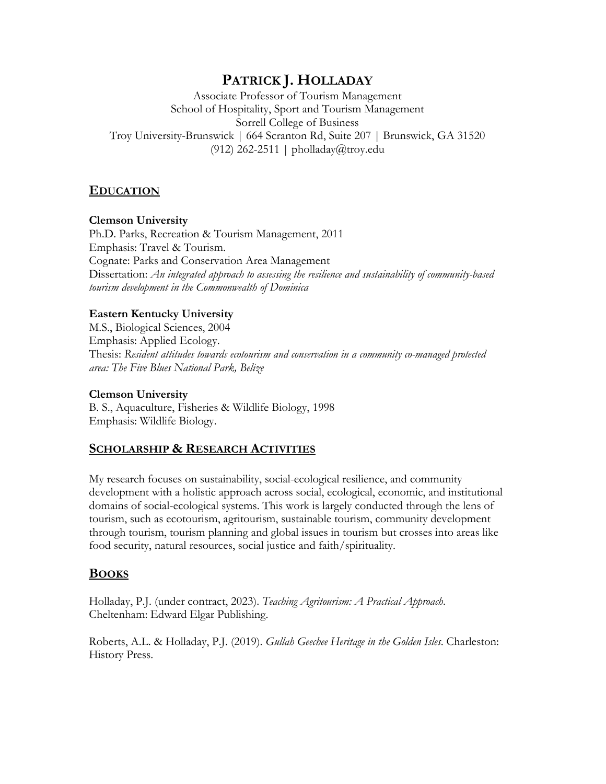# **PATRICK J. HOLLADAY**

Associate Professor of Tourism Management School of Hospitality, Sport and Tourism Management Sorrell College of Business Troy University-Brunswick | 664 Scranton Rd, Suite 207 | Brunswick, GA 31520 (912) 262-2511 | pholladay@troy.edu

## **EDUCATION**

### **Clemson University**

Ph.D. Parks, Recreation & Tourism Management, 2011 Emphasis: Travel & Tourism. Cognate: Parks and Conservation Area Management Dissertation: *An integrated approach to assessing the resilience and sustainability of community-based tourism development in the Commonwealth of Dominica*

### **Eastern Kentucky University**

M.S., Biological Sciences, 2004 Emphasis: Applied Ecology. Thesis: *Resident attitudes towards ecotourism and conservation in a community co-managed protected area: The Five Blues National Park, Belize*

#### **Clemson University**

B. S., Aquaculture, Fisheries & Wildlife Biology, 1998 Emphasis: Wildlife Biology.

### **SCHOLARSHIP & RESEARCH ACTIVITIES**

My research focuses on sustainability, social-ecological resilience, and community development with a holistic approach across social, ecological, economic, and institutional domains of social-ecological systems. This work is largely conducted through the lens of tourism, such as ecotourism, agritourism, sustainable tourism, community development through tourism, tourism planning and global issues in tourism but crosses into areas like food security, natural resources, social justice and faith/spirituality.

## **BOOKS**

Holladay, P.J. (under contract, 2023). *Teaching Agritourism: A Practical Approach*. Cheltenham: Edward Elgar Publishing.

Roberts, A.L. & Holladay, P.J. (2019). *Gullah Geechee Heritage in the Golden Isles*. Charleston: History Press.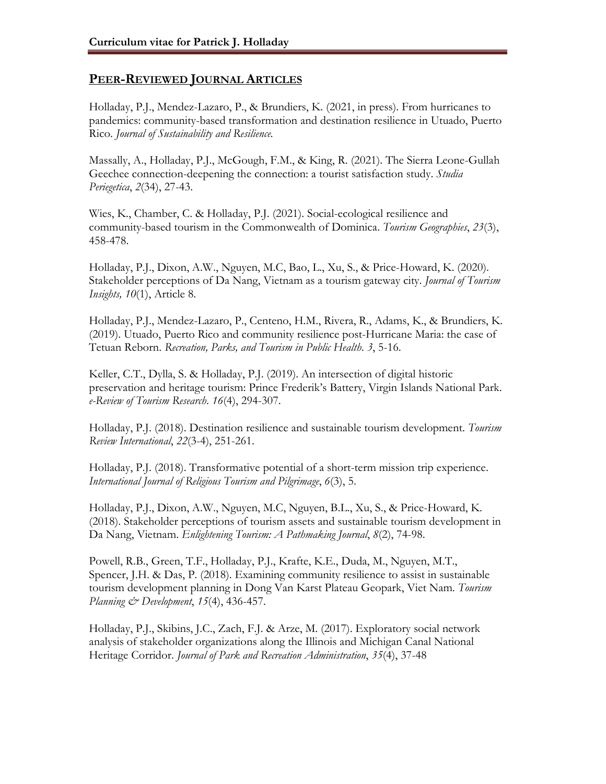## **PEER-REVIEWED JOURNAL ARTICLES**

Holladay, P.J., Mendez-Lazaro, P., & Brundiers, K. (2021, in press). From hurricanes to pandemics: community-based transformation and destination resilience in Utuado, Puerto Rico. *Journal of Sustainability and Resilience.* 

Massally, A., Holladay, P.J., McGough, F.M., & King, R. (2021). The Sierra Leone-Gullah Geechee connection-deepening the connection: a tourist satisfaction study. *Studia Periegetica*, *2*(34), 27-43.

Wies, K., Chamber, C. & Holladay, P.J. (2021). Social-ecological resilience and community-based tourism in the Commonwealth of Dominica. *Tourism Geographies*, *23*(3), 458-478.

Holladay, P.J., Dixon, A.W., Nguyen, M.C, Bao, L., Xu, S., & Price-Howard, K. (2020). Stakeholder perceptions of Da Nang, Vietnam as a tourism gateway city. *Journal of Tourism Insights, 10*(1), Article 8.

Holladay, P.J., Mendez-Lazaro, P., Centeno, H.M., Rivera, R., Adams, K., & Brundiers, K. (2019). Utuado, Puerto Rico and community resilience post-Hurricane Maria: the case of Tetuan Reborn. *Recreation, Parks, and Tourism in Public Health*. *3*, 5-16.

Keller, C.T., Dylla, S. & Holladay, P.J. (2019). An intersection of digital historic preservation and heritage tourism: Prince Frederik's Battery, Virgin Islands National Park. *e-Review of Tourism Research*. *16*(4), 294-307.

Holladay, P.J. (2018). Destination resilience and sustainable tourism development. *Tourism Review International*, *22*(3-4), 251-261.

Holladay, P.J. (2018). Transformative potential of a short-term mission trip experience. *International Journal of Religious Tourism and Pilgrimage*, *6*(3), 5.

Holladay, P.J., Dixon, A.W., Nguyen, M.C, Nguyen, B.L., Xu, S., & Price-Howard, K. (2018). Stakeholder perceptions of tourism assets and sustainable tourism development in Da Nang, Vietnam. *Enlightening Tourism: A Pathmaking Journal*, *8*(2), 74-98.

Powell, R.B., Green, T.F., Holladay, P.J., Krafte, K.E., Duda, M., Nguyen, M.T., Spencer, J.H. & Das, P. (2018). Examining community resilience to assist in sustainable tourism development planning in Dong Van Karst Plateau Geopark, Viet Nam. *Tourism Planning & Development*, *15*(4), 436-457.

Holladay, P.J., Skibins, J.C., Zach, F.J. & Arze, M. (2017). Exploratory social network analysis of stakeholder organizations along the Illinois and Michigan Canal National Heritage Corridor. *Journal of Park and Recreation Administration*, *35*(4), 37-48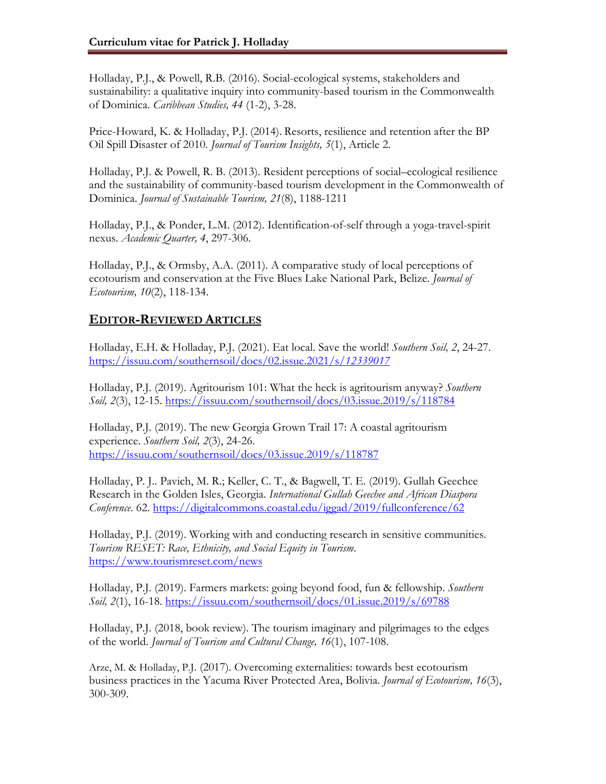Holladay, P.J., & Powell, R.B. (2016). Social-ecological systems, stakeholders and sustainability: a qualitative inquiry into community-based tourism in the Commonwealth of Dominica. *Caribbean Studies, 44* (1-2), 3-28.

Price-Howard, K. & Holladay, P.J. (2014). Resorts, resilience and retention after the BP Oil Spill Disaster of 2010. *Journal of Tourism Insights, 5*(1), Article 2.

Holladay, P.J. & Powell, R. B. (2013). Resident perceptions of social–ecological resilience and the sustainability of community-based tourism development in the Commonwealth of Dominica. *Journal of Sustainable Tourism, 21*(8), 1188-1211

Holladay, P.J., & Ponder, L.M. (2012). Identification-of-self through a yoga-travel-spirit nexus. *Academic Quarter, 4*, 297-306.

Holladay, P.J., & Ormsby, A.A. (2011). A comparative study of local perceptions of ecotourism and conservation at the Five Blues Lake National Park, Belize. *Journal of Ecotourism, 10*(2), 118-134.

# **EDITOR-REVIEWED ARTICLES**

Holladay, E.H. & Holladay, P.J. (2021). Eat local. Save the world! *Southern Soil, 2*, 24-27. [https://issuu.com/southernsoil/docs/02.issue.2021/s/](https://issuu.com/southernsoil/docs/02.issue.2021/s/12339017)*12339017*

Holladay, P.J. (2019). Agritourism 101: What the heck is agritourism anyway? *Southern Soil, 2*(3), 12-15.<https://issuu.com/southernsoil/docs/03.issue.2019/s/118784>

Holladay, P.J. (2019). The new Georgia Grown Trail 17: A coastal agritourism experience. *Southern Soil, 2*(3), 24-26. <https://issuu.com/southernsoil/docs/03.issue.2019/s/118787>

Holladay, P. J.. Pavich, M. R.; Keller, C. T., & Bagwell, T. E. (2019). Gullah Geechee Research in the Golden Isles, Georgia. *International Gullah Geechee and African Diaspora Conference*. 62.<https://digitalcommons.coastal.edu/iggad/2019/fullconference/62>

Holladay, P.J. (2019). Working with and conducting research in sensitive communities. *Tourism RESET: Race, Ethnicity, and Social Equity in Tourism*. <https://www.tourismreset.com/news>

Holladay, P.J. (2019). Farmers markets: going beyond food, fun & fellowship. *Southern Soil, 2*(1), 16-18. <https://issuu.com/southernsoil/docs/01.issue.2019/s/69788>

Holladay, P.J. (2018, book review). The tourism imaginary and pilgrimages to the edges of the world. *Journal of Tourism and Cultural Change, 16*(1), 107-108.

Arze, M. & Holladay, P.J. (2017). Overcoming externalities: towards best ecotourism business practices in the Yacuma River Protected Area, Bolivia. *Journal of Ecotourism, 16*(3), 300-309.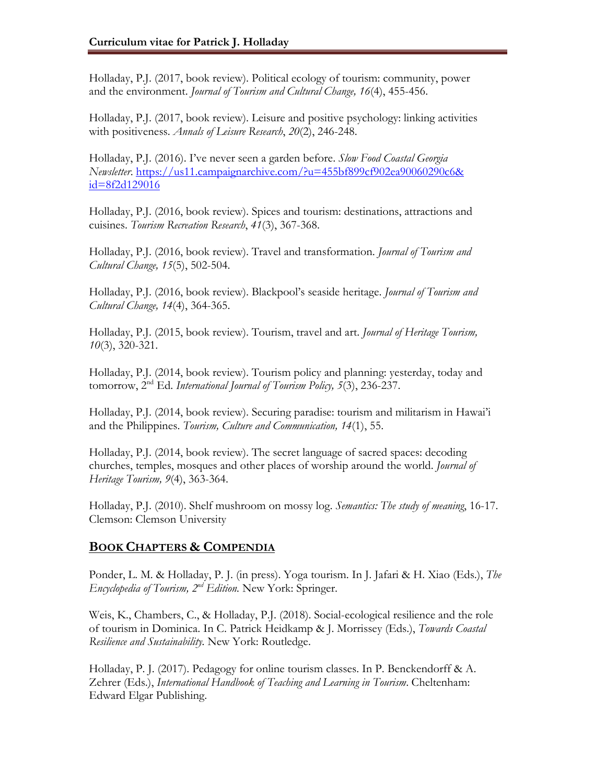Holladay, P.J. (2017, book review). Political ecology of tourism: community, power and the environment. *Journal of Tourism and Cultural Change, 16*(4), 455-456.

Holladay, P.J. (2017, book review). Leisure and positive psychology: linking activities with positiveness. *Annals of Leisure Research*, *20*(2), 246-248.

Holladay, P.J. (2016). I've never seen a garden before. *Slow Food Coastal Georgia Newsletter*. [https://us11.campaignarchive.com/?u=455bf899cf902ea90060290c6&](https://us11.campaignarchive.com/?u=455bf899cf902ea90060290c6&%20id=8f2d129016)  [id=8f2d129016](https://us11.campaignarchive.com/?u=455bf899cf902ea90060290c6&%20id=8f2d129016)

Holladay, P.J. (2016, book review). Spices and tourism: destinations, attractions and cuisines. *Tourism Recreation Research*, *41*(3), 367-368.

Holladay, P.J. (2016, book review). Travel and transformation. *Journal of Tourism and Cultural Change, 15*(5), 502-504.

Holladay, P.J. (2016, book review). Blackpool's seaside heritage. *Journal of Tourism and Cultural Change, 14*(4), 364-365.

Holladay, P.J. (2015, book review). Tourism, travel and art. *Journal of Heritage Tourism, 10*(3), 320-321.

Holladay, P.J. (2014, book review). Tourism policy and planning: yesterday, today and tomorrow, 2nd Ed. *International Journal of Tourism Policy, 5*(3), 236-237.

Holladay, P.J. (2014, book review). Securing paradise: tourism and militarism in Hawai'i and the Philippines. *Tourism, Culture and Communication, 14*(1), 55.

Holladay, P.J. (2014, book review). The secret language of sacred spaces: decoding churches, temples, mosques and other places of worship around the world. *Journal of Heritage Tourism, 9*(4), 363-364.

Holladay, P.J. (2010). Shelf mushroom on mossy log. *Semantics: The study of meaning*, 16-17. Clemson: Clemson University

# **BOOK CHAPTERS & COMPENDIA**

Ponder, L. M. & Holladay, P. J. (in press). Yoga tourism. In J. Jafari & H. Xiao (Eds.), *The Encyclopedia of Tourism, 2nd Edition.* New York: Springer.

Weis, K., Chambers, C., & Holladay, P.J. (2018). Social-ecological resilience and the role of tourism in Dominica. In C. Patrick Heidkamp & J. Morrissey (Eds.), *Towards Coastal Resilience and Sustainability.* New York: Routledge.

Holladay, P. J. (2017). Pedagogy for online tourism classes. In P. Benckendorff & A. Zehrer (Eds.), *International Handbook of Teaching and Learning in Tourism*. Cheltenham: Edward Elgar Publishing.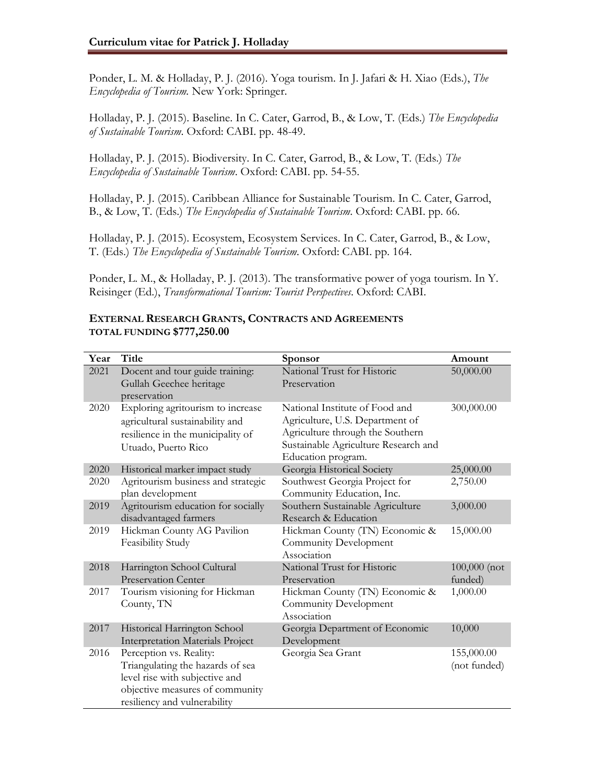Ponder, L. M. & Holladay, P. J. (2016). Yoga tourism. In J. Jafari & H. Xiao (Eds.), *The Encyclopedia of Tourism.* New York: Springer.

Holladay, P. J. (2015). Baseline. In C. Cater, Garrod, B., & Low, T. (Eds.) *The Encyclopedia of Sustainable Tourism*. Oxford: CABI. pp. 48-49.

Holladay, P. J. (2015). Biodiversity. In C. Cater, Garrod, B., & Low, T. (Eds.) *The Encyclopedia of Sustainable Tourism*. Oxford: CABI. pp. 54-55.

Holladay, P. J. (2015). Caribbean Alliance for Sustainable Tourism. In C. Cater, Garrod, B., & Low, T. (Eds.) *The Encyclopedia of Sustainable Tourism*. Oxford: CABI. pp. 66.

Holladay, P. J. (2015). Ecosystem, Ecosystem Services. In C. Cater, Garrod, B., & Low, T. (Eds.) *The Encyclopedia of Sustainable Tourism*. Oxford: CABI. pp. 164.

Ponder, L. M., & Holladay, P. J. (2013). The transformative power of yoga tourism. In Y. Reisinger (Ed.), *Transformational Tourism: Tourist Perspectives*. Oxford: CABI.

#### **EXTERNAL RESEARCH GRANTS, CONTRACTS AND AGREEMENTS TOTAL FUNDING \$777,250.00**

| Year | <b>Title</b>                                                                                                                                                     | Sponsor                                                                                                                                                             | Amount                     |
|------|------------------------------------------------------------------------------------------------------------------------------------------------------------------|---------------------------------------------------------------------------------------------------------------------------------------------------------------------|----------------------------|
| 2021 | Docent and tour guide training:<br>Gullah Geechee heritage<br>preservation                                                                                       | National Trust for Historic<br>Preservation                                                                                                                         | 50,000.00                  |
| 2020 | Exploring agritourism to increase<br>agricultural sustainability and<br>resilience in the municipality of<br>Utuado, Puerto Rico                                 | National Institute of Food and<br>Agriculture, U.S. Department of<br>Agriculture through the Southern<br>Sustainable Agriculture Research and<br>Education program. | 300,000.00                 |
| 2020 | Historical marker impact study                                                                                                                                   | Georgia Historical Society                                                                                                                                          | 25,000.00                  |
| 2020 | Agritourism business and strategic<br>plan development                                                                                                           | Southwest Georgia Project for<br>Community Education, Inc.                                                                                                          | 2,750.00                   |
| 2019 | Agritourism education for socially<br>disadvantaged farmers                                                                                                      | Southern Sustainable Agriculture<br>Research & Education                                                                                                            | 3,000.00                   |
| 2019 | Hickman County AG Pavilion<br>Feasibility Study                                                                                                                  | Hickman County (TN) Economic &<br>Community Development<br>Association                                                                                              | 15,000.00                  |
| 2018 | Harrington School Cultural<br><b>Preservation Center</b>                                                                                                         | National Trust for Historic<br>Preservation                                                                                                                         | $100,000$ (not<br>funded)  |
| 2017 | Tourism visioning for Hickman<br>County, TN                                                                                                                      | Hickman County (TN) Economic &<br>Community Development<br>Association                                                                                              | 1,000.00                   |
| 2017 | Historical Harrington School<br><b>Interpretation Materials Project</b>                                                                                          | Georgia Department of Economic<br>Development                                                                                                                       | 10,000                     |
| 2016 | Perception vs. Reality:<br>Triangulating the hazards of sea<br>level rise with subjective and<br>objective measures of community<br>resiliency and vulnerability | Georgia Sea Grant                                                                                                                                                   | 155,000.00<br>(not funded) |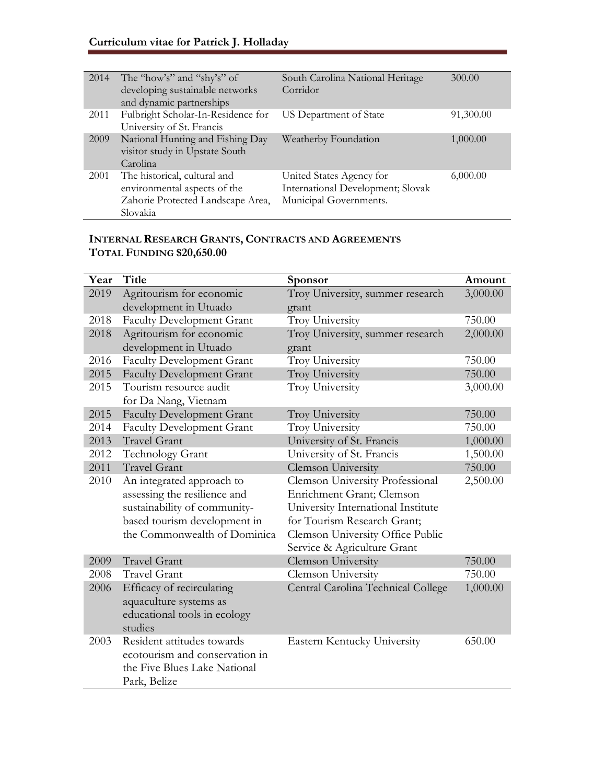| 2014 | The "how's" and "shy's" of<br>developing sustainable networks<br>and dynamic partnerships                     | South Carolina National Heritage<br>Corridor                                            | 300.00    |
|------|---------------------------------------------------------------------------------------------------------------|-----------------------------------------------------------------------------------------|-----------|
| 2011 | Fulbright Scholar-In-Residence for<br>University of St. Francis                                               | US Department of State                                                                  | 91,300.00 |
| 2009 | National Hunting and Fishing Day<br>visitor study in Upstate South<br>Carolina                                | Weatherby Foundation                                                                    | 1,000.00  |
| 2001 | The historical, cultural and<br>environmental aspects of the<br>Zahorie Protected Landscape Area,<br>Slovakia | United States Agency for<br>International Development; Slovak<br>Municipal Governments. | 6,000.00  |

## **INTERNAL RESEARCH GRANTS, CONTRACTS AND AGREEMENTS TOTAL FUNDING \$20,650.00**

| Year | Title                            | Sponsor                                | Amount   |
|------|----------------------------------|----------------------------------------|----------|
| 2019 | Agritourism for economic         | Troy University, summer research       | 3,000.00 |
|      | development in Utuado            | grant                                  |          |
| 2018 | <b>Faculty Development Grant</b> | Troy University                        | 750.00   |
| 2018 | Agritourism for economic         | Troy University, summer research       | 2,000.00 |
|      | development in Utuado            | grant                                  |          |
| 2016 | <b>Faculty Development Grant</b> | Troy University                        | 750.00   |
| 2015 | <b>Faculty Development Grant</b> | Troy University                        | 750.00   |
| 2015 | Tourism resource audit           | Troy University                        | 3,000.00 |
|      | for Da Nang, Vietnam             |                                        |          |
| 2015 | <b>Faculty Development Grant</b> | Troy University                        | 750.00   |
| 2014 | <b>Faculty Development Grant</b> | Troy University                        | 750.00   |
| 2013 | <b>Travel Grant</b>              | University of St. Francis              | 1,000.00 |
| 2012 | Technology Grant                 | University of St. Francis              | 1,500.00 |
| 2011 | <b>Travel Grant</b>              | Clemson University                     | 750.00   |
| 2010 | An integrated approach to        | <b>Clemson University Professional</b> | 2,500.00 |
|      | assessing the resilience and     | Enrichment Grant; Clemson              |          |
|      | sustainability of community-     | University International Institute     |          |
|      | based tourism development in     | for Tourism Research Grant;            |          |
|      | the Commonwealth of Dominica     | Clemson University Office Public       |          |
|      |                                  | Service & Agriculture Grant            |          |
| 2009 | <b>Travel Grant</b>              | Clemson University                     | 750.00   |
| 2008 | <b>Travel Grant</b>              | Clemson University                     | 750.00   |
| 2006 | Efficacy of recirculating        | Central Carolina Technical College     | 1,000.00 |
|      | aquaculture systems as           |                                        |          |
|      | educational tools in ecology     |                                        |          |
|      | studies                          |                                        |          |
| 2003 | Resident attitudes towards       | Eastern Kentucky University            | 650.00   |
|      | ecotourism and conservation in   |                                        |          |
|      | the Five Blues Lake National     |                                        |          |
|      | Park, Belize                     |                                        |          |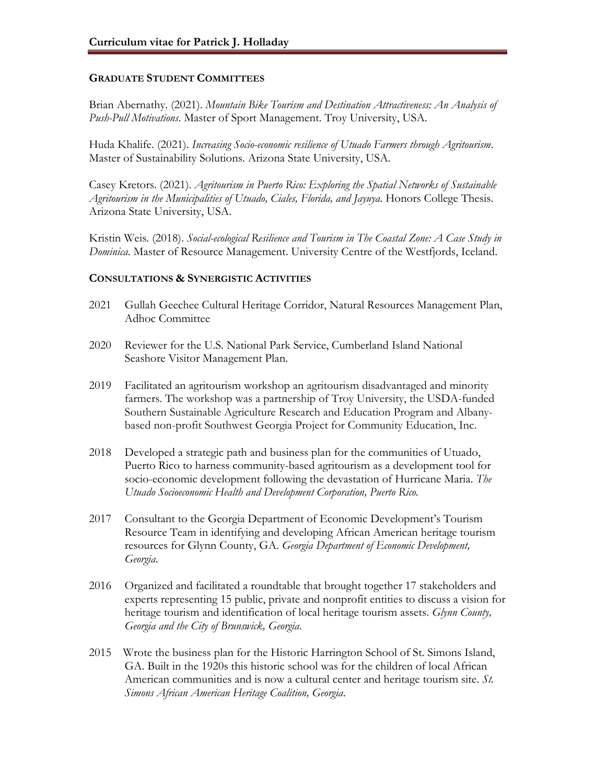### **GRADUATE STUDENT COMMITTEES**

Brian Abernathy. (2021). *Mountain Bike Tourism and Destination Attractiveness: An Analysis of Push-Pull Motivations*. Master of Sport Management. Troy University, USA.

Huda Khalife. (2021). *Increasing Socio-economic resilience of Utuado Farmers through Agritourism*. Master of Sustainability Solutions. Arizona State University, USA.

Casey Kretors. (2021). *Agritourism in Puerto Rico: Exploring the Spatial Networks of Sustainable Agritourism in the Municipalities of Utuado, Ciales, Florida, and Jayuya*. Honors College Thesis. Arizona State University, USA.

Kristin Weis. (2018). *Social-ecological Resilience and Tourism in The Coastal Zone: A Case Study in Dominica*. Master of Resource Management. University Centre of the Westfjords, Iceland.

### **CONSULTATIONS & SYNERGISTIC ACTIVITIES**

- 2021 Gullah Geechee Cultural Heritage Corridor, Natural Resources Management Plan, Adhoc Committee
- 2020 Reviewer for the U.S. National Park Service, Cumberland Island National Seashore Visitor Management Plan.
- 2019 Facilitated an agritourism workshop an agritourism disadvantaged and minority farmers. The workshop was a partnership of Troy University, the USDA-funded Southern Sustainable Agriculture Research and Education Program and Albanybased non-profit Southwest Georgia Project for Community Education, Inc.
- 2018 Developed a strategic path and business plan for the communities of Utuado, Puerto Rico to harness community-based agritourism as a development tool for socio-economic development following the devastation of Hurricane Maria. *The Utuado Socioeconomic Health and Development Corporation, Puerto Rico.*
- 2017 Consultant to the Georgia Department of Economic Development's Tourism Resource Team in identifying and developing African American heritage tourism resources for Glynn County, GA. *Georgia Department of Economic Development, Georgia*.
- 2016 Organized and facilitated a roundtable that brought together 17 stakeholders and experts representing 15 public, private and nonprofit entities to discuss a vision for heritage tourism and identification of local heritage tourism assets. *Glynn County, Georgia and the City of Brunswick, Georgia*.
- 2015 Wrote the business plan for the Historic Harrington School of St. Simons Island, GA. Built in the 1920s this historic school was for the children of local African American communities and is now a cultural center and heritage tourism site. *St. Simons African American Heritage Coalition, Georgia*.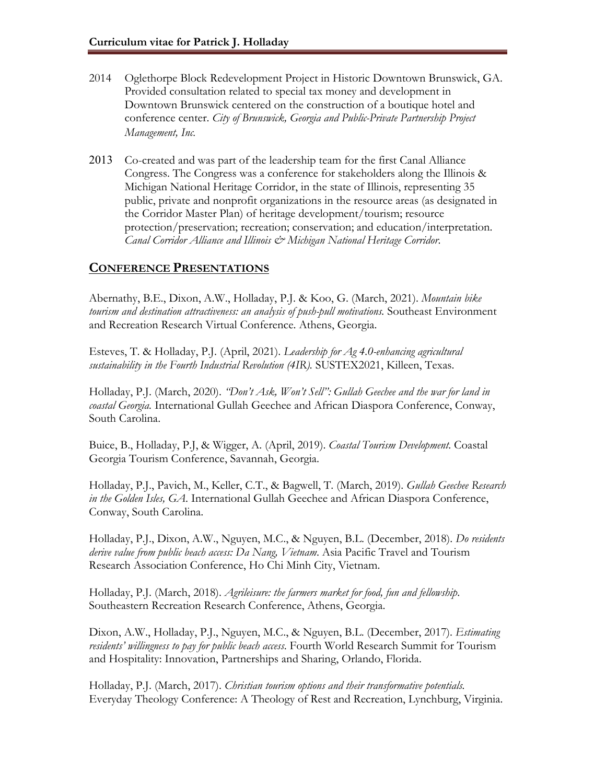- 2014 Oglethorpe Block Redevelopment Project in Historic Downtown Brunswick, GA. Provided consultation related to special tax money and development in Downtown Brunswick centered on the construction of a boutique hotel and conference center. *City of Brunswick, Georgia and Public-Private Partnership Project Management, Inc.*
- 2013 Co-created and was part of the leadership team for the first Canal Alliance Congress. The Congress was a conference for stakeholders along the Illinois & Michigan National Heritage Corridor, in the state of Illinois, representing 35 public, private and nonprofit organizations in the resource areas (as designated in the Corridor Master Plan) of heritage development/tourism; resource protection/preservation; recreation; conservation; and education/interpretation. *Canal Corridor Alliance and Illinois & Michigan National Heritage Corridor*.

## **CONFERENCE PRESENTATIONS**

Abernathy, B.E., Dixon, A.W., Holladay, P.J. & Koo, G. (March, 2021). *Mountain bike tourism and destination attractiveness: an analysis of push-pull motivations.* Southeast Environment and Recreation Research Virtual Conference. Athens, Georgia.

Esteves, T. & Holladay, P.J. (April, 2021). *Leadership for Ag 4.0-enhancing agricultural sustainability in the Fourth Industrial Revolution (4IR).* SUSTEX2021, Killeen, Texas.

Holladay, P.J. (March, 2020). *"Don't Ask, Won't Sell": Gullah Geechee and the war for land in coastal Georgia.* International Gullah Geechee and African Diaspora Conference, Conway, South Carolina.

Buice, B., Holladay, P.J, & Wigger, A. (April, 2019). *Coastal Tourism Development*. Coastal Georgia Tourism Conference, Savannah, Georgia.

Holladay, P.J., Pavich, M., Keller, C.T., & Bagwell, T. (March, 2019). *Gullah Geechee Research in the Golden Isles, GA*. International Gullah Geechee and African Diaspora Conference, Conway, South Carolina.

Holladay, P.J., Dixon, A.W., Nguyen, M.C., & Nguyen, B.L. (December, 2018). *Do residents derive value from public beach access: Da Nang, Vietnam*. Asia Pacific Travel and Tourism Research Association Conference, Ho Chi Minh City, Vietnam.

Holladay, P.J. (March, 2018). *Agrileisure: the farmers market for food, fun and fellowship*. Southeastern Recreation Research Conference, Athens, Georgia.

Dixon, A.W., Holladay, P.J., Nguyen, M.C., & Nguyen, B.L. (December, 2017). *Estimating residents' willingness to pay for public beach access*. Fourth World Research Summit for Tourism and Hospitality: Innovation, Partnerships and Sharing, Orlando, Florida.

Holladay, P.J. (March, 2017). *Christian tourism options and their transformative potentials.*  Everyday Theology Conference: A Theology of Rest and Recreation, Lynchburg, Virginia.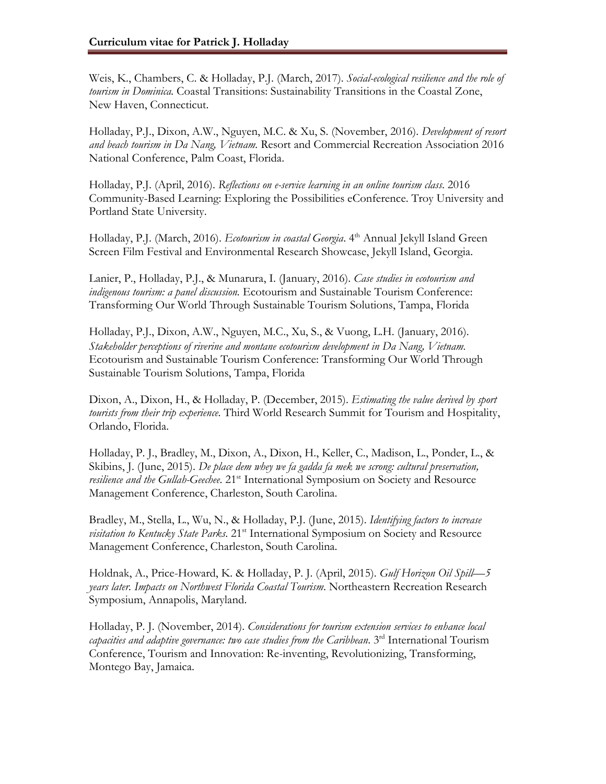Weis, K., Chambers, C. & Holladay, P.J. (March, 2017). *Social-ecological resilience and the role of tourism in Dominica.* Coastal Transitions: Sustainability Transitions in the Coastal Zone, New Haven, Connecticut.

Holladay, P.J., Dixon, A.W., Nguyen, M.C. & Xu, S. (November, 2016). *Development of resort and beach tourism in Da Nang, Vietnam.* Resort and Commercial Recreation Association 2016 National Conference, Palm Coast, Florida.

Holladay, P.J. (April, 2016). *Reflections on e-service learning in an online tourism class*. 2016 Community-Based Learning: Exploring the Possibilities eConference. Troy University and Portland State University.

Holladay, P.J. (March, 2016). *Ecotourism in coastal Georgia*. 4<sup>th</sup> Annual Jekyll Island Green Screen Film Festival and Environmental Research Showcase, Jekyll Island, Georgia.

Lanier, P., Holladay, P.J., & Munarura, I. (January, 2016). *Case studies in ecotourism and indigenous tourism: a panel discussion.* Ecotourism and Sustainable Tourism Conference: Transforming Our World Through Sustainable Tourism Solutions, Tampa, Florida

Holladay, P.J., Dixon, A.W., Nguyen, M.C., Xu, S., & Vuong, L.H. (January, 2016). *Stakeholder perceptions of riverine and montane ecotourism development in Da Nang, Vietnam.*  Ecotourism and Sustainable Tourism Conference: Transforming Our World Through Sustainable Tourism Solutions, Tampa, Florida

Dixon, A., Dixon, H., & Holladay, P. (December, 2015). *Estimating the value derived by sport tourists from their trip experience*. Third World Research Summit for Tourism and Hospitality, Orlando, Florida.

Holladay, P. J., Bradley, M., Dixon, A., Dixon, H., Keller, C., Madison, L., Ponder, L., & Skibins, J. (June, 2015). *De place dem whey we fa gadda fa mek we scrong: cultural preservation, resilience and the Gullah-Geechee*.  $21^{st}$  International Symposium on Society and Resource Management Conference, Charleston, South Carolina.

Bradley, M., Stella, L., Wu, N., & Holladay, P.J. (June, 2015). *Identifying factors to increase visitation to Kentucky State Parks*. 21<sup>st</sup> International Symposium on Society and Resource Management Conference, Charleston, South Carolina.

Holdnak, A., Price-Howard, K. & Holladay, P. J. (April, 2015). *Gulf Horizon Oil Spill—5 years later. Impacts on Northwest Florida Coastal Tourism*. Northeastern Recreation Research Symposium, Annapolis, Maryland.

Holladay, P. J. (November, 2014). *Considerations for tourism extension services to enhance local capacities and adaptive governance: two case studies from the Caribbean*. 3rd International Tourism Conference, Tourism and Innovation: Re-inventing, Revolutionizing, Transforming, Montego Bay, Jamaica.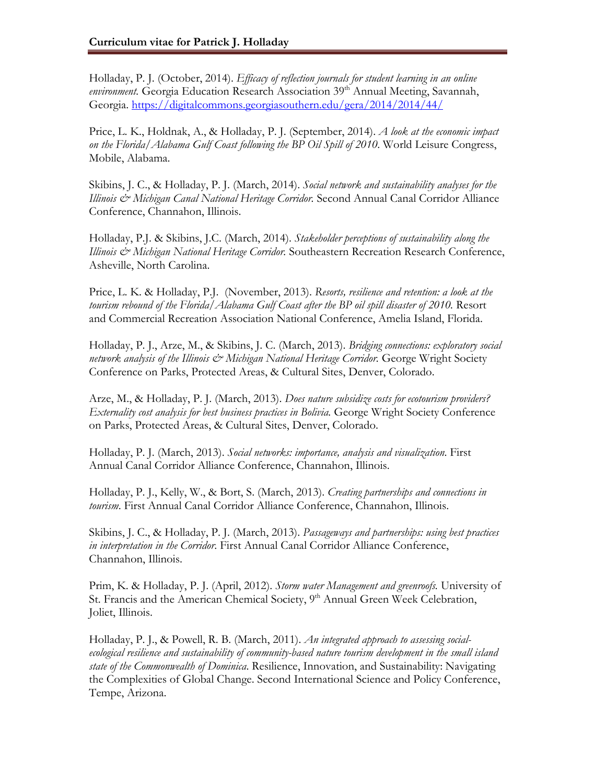Holladay, P. J. (October, 2014). *Efficacy of reflection journals for student learning in an online environment.* Georgia Education Research Association 39<sup>th</sup> Annual Meeting, Savannah, Georgia.<https://digitalcommons.georgiasouthern.edu/gera/2014/2014/44/>

Price, L. K., Holdnak, A., & Holladay, P. J. (September, 2014). *A look at the economic impact on the Florida/Alabama Gulf Coast following the BP Oil Spill of 2010*. World Leisure Congress, Mobile, Alabama.

Skibins, J. C., & Holladay, P. J. (March, 2014). *Social network and sustainability analyses for the Illinois & Michigan Canal National Heritage Corridor.* Second Annual Canal Corridor Alliance Conference, Channahon, Illinois.

Holladay, P.J. & Skibins, J.C. (March, 2014). *Stakeholder perceptions of sustainability along the Illinois & Michigan National Heritage Corridor.* Southeastern Recreation Research Conference, Asheville, North Carolina.

Price, L. K. & Holladay, P.J. (November, 2013). *Resorts, resilience and retention: a look at the tourism rebound of the Florida/Alabama Gulf Coast after the BP oil spill disaster of 2010.* Resort and Commercial Recreation Association National Conference, Amelia Island, Florida.

Holladay, P. J., Arze, M., & Skibins, J. C. (March, 2013). *Bridging connections: exploratory social network analysis of the Illinois & Michigan National Heritage Corridor.* George Wright Society Conference on Parks, Protected Areas, & Cultural Sites, Denver, Colorado.

Arze, M., & Holladay, P. J. (March, 2013). *Does nature subsidize costs for ecotourism providers? Externality cost analysis for best business practices in Bolivia.* George Wright Society Conference on Parks, Protected Areas, & Cultural Sites, Denver, Colorado.

Holladay, P. J. (March, 2013). *Social networks: importance, analysis and visualization*. First Annual Canal Corridor Alliance Conference, Channahon, Illinois.

Holladay, P. J., Kelly, W., & Bort, S. (March, 2013). *Creating partnerships and connections in tourism*. First Annual Canal Corridor Alliance Conference, Channahon, Illinois.

Skibins, J. C., & Holladay, P. J. (March, 2013). *Passageways and partnerships: using best practices in interpretation in the Corridor*. First Annual Canal Corridor Alliance Conference, Channahon, Illinois.

Prim, K. & Holladay, P. J. (April, 2012). *Storm water Management and greenroofs.* University of St. Francis and the American Chemical Society, 9<sup>th</sup> Annual Green Week Celebration, Joliet, Illinois.

Holladay, P. J., & Powell, R. B. (March, 2011). *An integrated approach to assessing socialecological resilience and sustainability of community-based nature tourism development in the small island state of the Commonwealth of Dominica*. Resilience, Innovation, and Sustainability: Navigating the Complexities of Global Change. Second International Science and Policy Conference, Tempe, Arizona.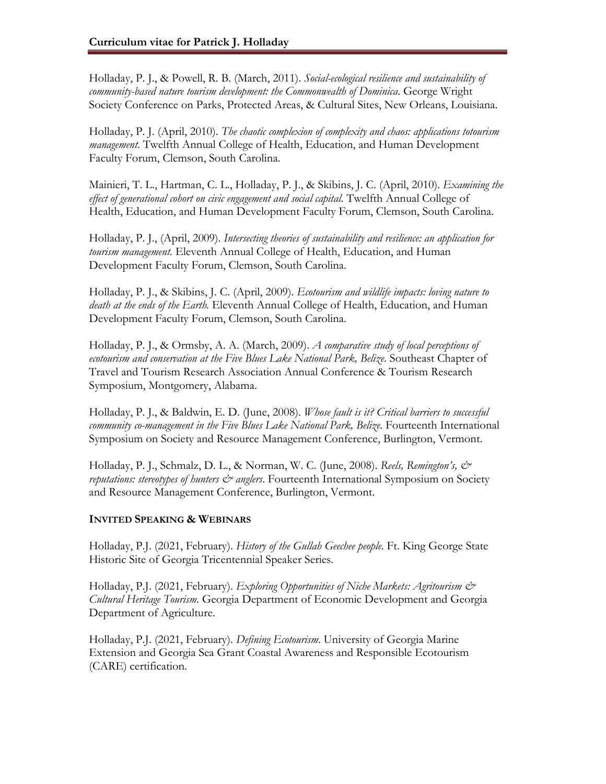Holladay, P. J., & Powell, R. B. (March, 2011). *Social-ecological resilience and sustainability of community-based nature tourism development: the Commonwealth of Dominica*. George Wright Society Conference on Parks, Protected Areas, & Cultural Sites, New Orleans, Louisiana.

Holladay, P. J. (April, 2010). *The chaotic complexion of complexity and chaos: applications totourism management*. Twelfth Annual College of Health, Education, and Human Development Faculty Forum, Clemson, South Carolina.

Mainieri, T. L., Hartman, C. L., Holladay, P. J., & Skibins, J. C. (April, 2010). *Examining the effect of generational cohort on civic engagement and social capital*. Twelfth Annual College of Health, Education, and Human Development Faculty Forum, Clemson, South Carolina.

Holladay, P. J., (April, 2009). *Intersecting theories of sustainability and resilience: an application for tourism management.* Eleventh Annual College of Health, Education, and Human Development Faculty Forum, Clemson, South Carolina.

Holladay, P. J., & Skibins, J. C. (April, 2009). *Ecotourism and wildlife impacts: loving nature to death at the ends of the Earth.* Eleventh Annual College of Health, Education, and Human Development Faculty Forum, Clemson, South Carolina.

Holladay, P. J., & Ormsby, A. A. (March, 2009). *A comparative study of local perceptions of ecotourism and conservation at the Five Blues Lake National Park, Belize*. Southeast Chapter of Travel and Tourism Research Association Annual Conference & Tourism Research Symposium, Montgomery, Alabama.

Holladay, P. J., & Baldwin, E. D. (June, 2008). *Whose fault is it? Critical barriers to successful community co-management in the Five Blues Lake National Park, Belize.* Fourteenth International Symposium on Society and Resource Management Conference, Burlington, Vermont.

Holladay, P. J., Schmalz, D. L., & Norman, W. C. (June, 2008). *Reels, Remington's, &*  reputations: stereotypes of hunters  $\mathcal O$  anglers. Fourteenth International Symposium on Society and Resource Management Conference, Burlington, Vermont.

### **INVITED SPEAKING & WEBINARS**

Holladay, P.J. (2021, February). *History of the Gullah Geechee people.* Ft. King George State Historic Site of Georgia Tricentennial Speaker Series.

Holladay, P.J. (2021, February). *Exploring Opportunities of Niche Markets: Agritourism & Cultural Heritage Tourism.* Georgia Department of Economic Development and Georgia Department of Agriculture.

Holladay, P.J. (2021, February). *Defining Ecotourism*. University of Georgia Marine Extension and Georgia Sea Grant Coastal Awareness and Responsible Ecotourism (CARE) certification.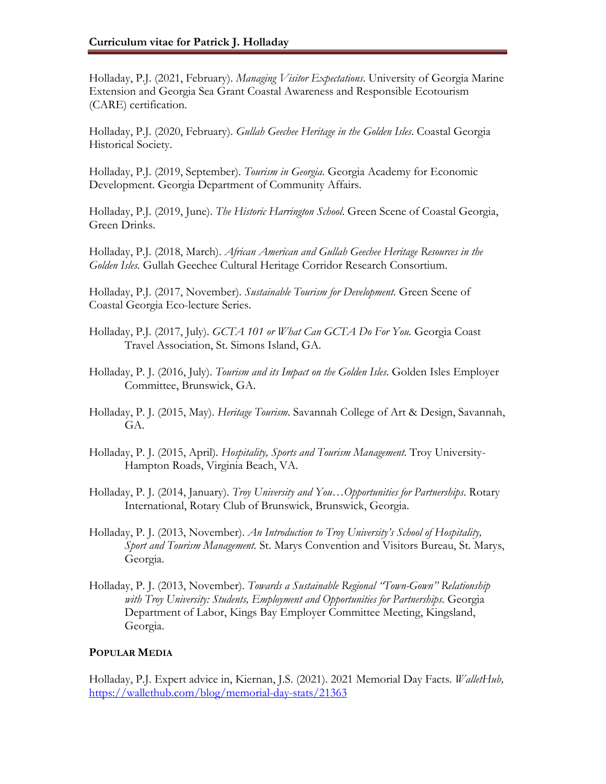Holladay, P.J. (2021, February). *Managing Visitor Expectations*. University of Georgia Marine Extension and Georgia Sea Grant Coastal Awareness and Responsible Ecotourism (CARE) certification.

Holladay, P.J. (2020, February). *Gullah Geechee Heritage in the Golden Isles*. Coastal Georgia Historical Society.

Holladay, P.J. (2019, September). *Tourism in Georgia*. Georgia Academy for Economic Development. Georgia Department of Community Affairs.

Holladay, P.J. (2019, June). *The Historic Harrington School*. Green Scene of Coastal Georgia, Green Drinks.

Holladay, P.J. (2018, March). *African American and Gullah Geechee Heritage Resources in the Golden Isles.* Gullah Geechee Cultural Heritage Corridor Research Consortium.

Holladay, P.J. (2017, November). *Sustainable Tourism for Development*. Green Scene of Coastal Georgia Eco-lecture Series.

- Holladay, P.J. (2017, July). *GCTA 101 or What Can GCTA Do For You.* Georgia Coast Travel Association, St. Simons Island, GA.
- Holladay, P. J. (2016, July). *Tourism and its Impact on the Golden Isles*. Golden Isles Employer Committee, Brunswick, GA.
- Holladay, P. J. (2015, May). *Heritage Tourism*. Savannah College of Art & Design, Savannah, GA.
- Holladay, P. J. (2015, April). *Hospitality, Sports and Tourism Management*. Troy University-Hampton Roads, Virginia Beach, VA.
- Holladay, P. J. (2014, January). *Troy University and You…Opportunities for Partnerships*. Rotary International, Rotary Club of Brunswick, Brunswick, Georgia.
- Holladay, P. J. (2013, November). *An Introduction to Troy University's School of Hospitality, Sport and Tourism Management.* St. Marys Convention and Visitors Bureau, St. Marys, Georgia.
- Holladay, P. J. (2013, November). *Towards a Sustainable Regional "Town-Gown" Relationship with Troy University: Students, Employment and Opportunities for Partnerships*. Georgia Department of Labor, Kings Bay Employer Committee Meeting, Kingsland, Georgia.

### **POPULAR MEDIA**

Holladay, P.J. Expert advice in, Kiernan, J.S. (2021). 2021 Memorial Day Facts. *WalletHub,*  <https://wallethub.com/blog/memorial-day-stats/21363>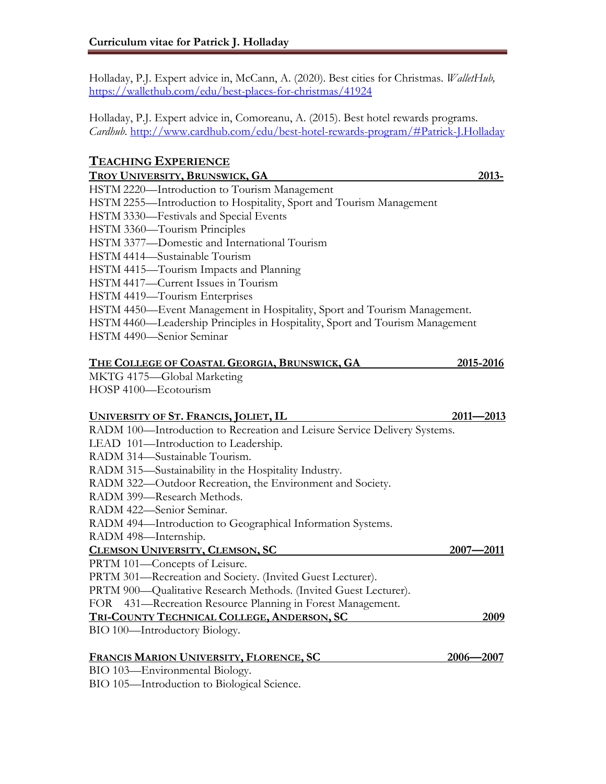Holladay, P.J. Expert advice in, McCann, A. (2020). Best cities for Christmas. *WalletHub,*  <https://wallethub.com/edu/best-places-for-christmas/41924>

Holladay, P.J. Expert advice in, Comoreanu, A. (2015). Best hotel rewards programs. *Cardhub*.<http://www.cardhub.com/edu/best-hotel-rewards-program/#Patrick-J.Holladay>

## **TEACHING EXPERIENCE**

| <b>TROY UNIVERSITY, BRUNSWICK, GA</b>                                        | 2013- |
|------------------------------------------------------------------------------|-------|
| HSTM 2220—Introduction to Tourism Management                                 |       |
| HSTM 2255—Introduction to Hospitality, Sport and Tourism Management          |       |
| HSTM 3330-Festivals and Special Events                                       |       |
| HSTM 3360—Tourism Principles                                                 |       |
| HSTM 3377-Domestic and International Tourism                                 |       |
| HSTM 4414—Sustainable Tourism                                                |       |
| HSTM 4415-Tourism Impacts and Planning                                       |       |
| HSTM 4417-Current Issues in Tourism                                          |       |
| HSTM 4419-Tourism Enterprises                                                |       |
| HSTM 4450-Event Management in Hospitality, Sport and Tourism Management.     |       |
| HSTM 4460—Leadership Principles in Hospitality, Sport and Tourism Management |       |
| HSTM 4490-Senior Seminar                                                     |       |
|                                                                              |       |

# **THE COLLEGE OF COASTAL GEORGIA, BRUNSWICK, GA 2015-2016**

MKTG 4175—Global Marketing HOSP 4100—Ecotourism

### **UNIVERSITY OF ST. FRANCIS, JOLIET, IL 2011—2013**

RADM 100—Introduction to Recreation and Leisure Service Delivery Systems.

LEAD 101—Introduction to Leadership.

RADM 314—Sustainable Tourism.

- RADM 315—Sustainability in the Hospitality Industry.
- RADM 322—Outdoor Recreation, the Environment and Society.
- RADM 399—Research Methods.
- RADM 422—Senior Seminar.
- RADM 494—Introduction to Geographical Information Systems.
- RADM 498—Internship.
- **CLEMSON UNIVERSITY, CLEMSON, SC 2007—2011** PRTM 101—Concepts of Leisure.
- PRTM 301—Recreation and Society. (Invited Guest Lecturer).
- PRTM 900—Qualitative Research Methods. (Invited Guest Lecturer).
- FOR 431—Recreation Resource Planning in Forest Management.
- **TRI-COUNTY TECHNICAL COLLEGE, ANDERSON, SC 2009**
- BIO 100—Introductory Biology.

## **FRANCIS MARION UNIVERSITY, FLORENCE, SC 2006—2007**

BIO 103—Environmental Biology.

BIO 105—Introduction to Biological Science.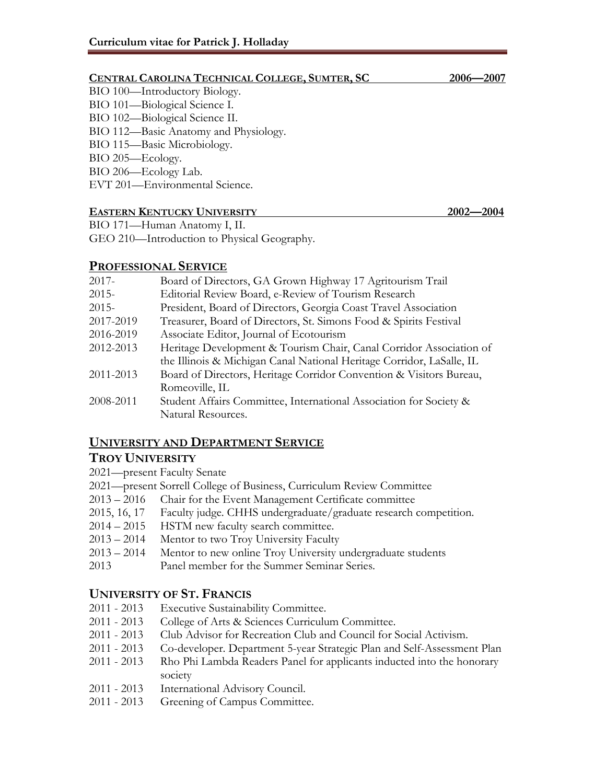### **CENTRAL CAROLINA TECHNICAL COLLEGE, SUMTER, SC 2006—2007**

- BIO 100—Introductory Biology.
- BIO 101—Biological Science I.
- BIO 102—Biological Science II.
- BIO 112—Basic Anatomy and Physiology.
- BIO 115—Basic Microbiology.
- BIO 205—Ecology.
- BIO 206—Ecology Lab.
- EVT 201—Environmental Science.

### **EASTERN KENTUCKY UNIVERSITY 2002—2004**

BIO 171—Human Anatomy I, II.

GEO 210—Introduction to Physical Geography.

## **PROFESSIONAL SERVICE**

| 2017-     | Board of Directors, GA Grown Highway 17 Agritourism Trail                                                                                   |
|-----------|---------------------------------------------------------------------------------------------------------------------------------------------|
| $2015 -$  | Editorial Review Board, e-Review of Tourism Research                                                                                        |
| $2015 -$  | President, Board of Directors, Georgia Coast Travel Association                                                                             |
| 2017-2019 | Treasurer, Board of Directors, St. Simons Food & Spirits Festival                                                                           |
| 2016-2019 | Associate Editor, Journal of Ecotourism                                                                                                     |
| 2012-2013 | Hentage Development & Tourism Chair, Canal Corridor Association of<br>the Illinois & Michigan Canal National Heritage Corridor, LaSalle, IL |
| 2011-2013 | Board of Directors, Heritage Corridor Convention & Visitors Bureau,<br>Romeoville, IL                                                       |
| 2008-2011 | Student Affairs Committee, International Association for Society &<br>Natural Resources.                                                    |

# **UNIVERSITY AND DEPARTMENT SERVICE**

# **TROY UNIVERSITY**

- 2021—present Faculty Senate
- 2021—present Sorrell College of Business, Curriculum Review Committee
- 2013 2016 Chair for the Event Management Certificate committee
- 2015, 16, 17 Faculty judge. CHHS undergraduate/graduate research competition.
- 2014 2015 HSTM new faculty search committee.
- 2013 2014 Mentor to two Troy University Faculty
- 2013 2014 Mentor to new online Troy University undergraduate students
- 2013 Panel member for the Summer Seminar Series.

## **UNIVERSITY OF ST. FRANCIS**

- 2011 2013 Executive Sustainability Committee.
- 2011 2013 College of Arts & Sciences Curriculum Committee.
- 2011 2013 Club Advisor for Recreation Club and Council for Social Activism.
- 2011 2013 Co-developer. Department 5-year Strategic Plan and Self-Assessment Plan
- 2011 2013 Rho Phi Lambda Readers Panel for applicants inducted into the honorary society
- 2011 2013 International Advisory Council.
- 2011 2013 Greening of Campus Committee.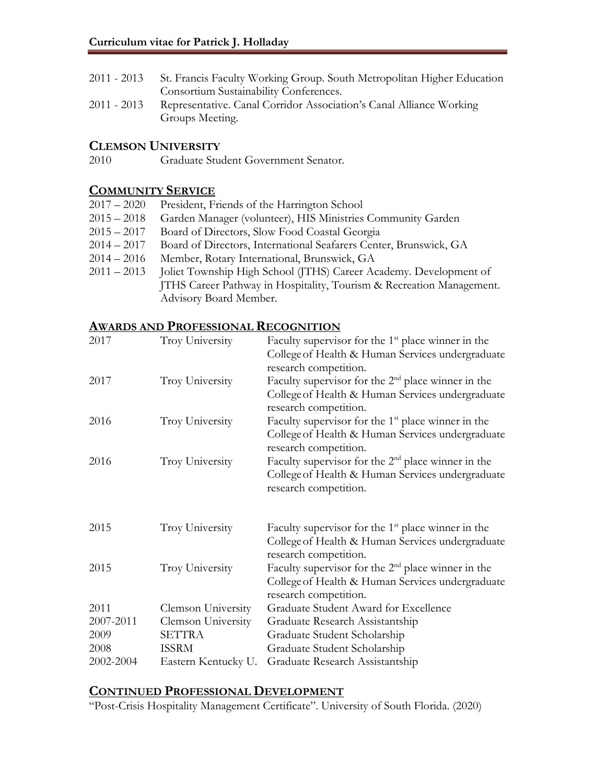- 2011 2013 St. Francis Faculty Working Group. South Metropolitan Higher Education Consortium Sustainability Conferences.
- 2011 2013 Representative. Canal Corridor Association's Canal Alliance Working Groups Meeting.

## **CLEMSON UNIVERSITY**

2010 Graduate Student Government Senator.

## **COMMUNITY SERVICE**

- 2017 2020 President, Friends of the Harrington School
- 2015 2018 Garden Manager (volunteer), HIS Ministries Community Garden
- 2015 2017 Board of Directors, Slow Food Coastal Georgia
- 2014 2017 Board of Directors, International Seafarers Center, Brunswick, GA
- 2014 2016 Member, Rotary International, Brunswick, GA
- 2011 2013 Joliet Township High School (JTHS) Career Academy. Development of JTHS Career Pathway in Hospitality, Tourism & Recreation Management. Advisory Board Member.

## **AWARDS AND PROFESSIONAL RECOGNITION**

| 2017      | Troy University     | Faculty supervisor for the $1st$ place winner in the<br>College of Health & Human Services undergraduate<br>research competition. |
|-----------|---------------------|-----------------------------------------------------------------------------------------------------------------------------------|
| 2017      | Troy University     | Faculty supervisor for the $2nd$ place winner in the<br>College of Health & Human Services undergraduate<br>research competition. |
| 2016      | Troy University     | Faculty supervisor for the $1st$ place winner in the<br>College of Health & Human Services undergraduate<br>research competition. |
| 2016      | Troy University     | Faculty supervisor for the $2nd$ place winner in the<br>College of Health & Human Services undergraduate<br>research competition. |
| 2015      | Troy University     | Faculty supervisor for the $1st$ place winner in the<br>College of Health & Human Services undergraduate<br>research competition. |
| 2015      | Troy University     | Faculty supervisor for the $2nd$ place winner in the<br>College of Health & Human Services undergraduate<br>research competition. |
| 2011      | Clemson University  | Graduate Student Award for Excellence                                                                                             |
| 2007-2011 | Clemson University  | Graduate Research Assistantship                                                                                                   |
| 2009      | <b>SETTRA</b>       | Graduate Student Scholarship                                                                                                      |
| 2008      | <b>ISSRM</b>        | Graduate Student Scholarship                                                                                                      |
| 2002-2004 | Eastern Kentucky U. | Graduate Research Assistantship                                                                                                   |

### **CONTINUED PROFESSIONAL DEVELOPMENT**

"Post-Crisis Hospitality Management Certificate". University of South Florida. (2020)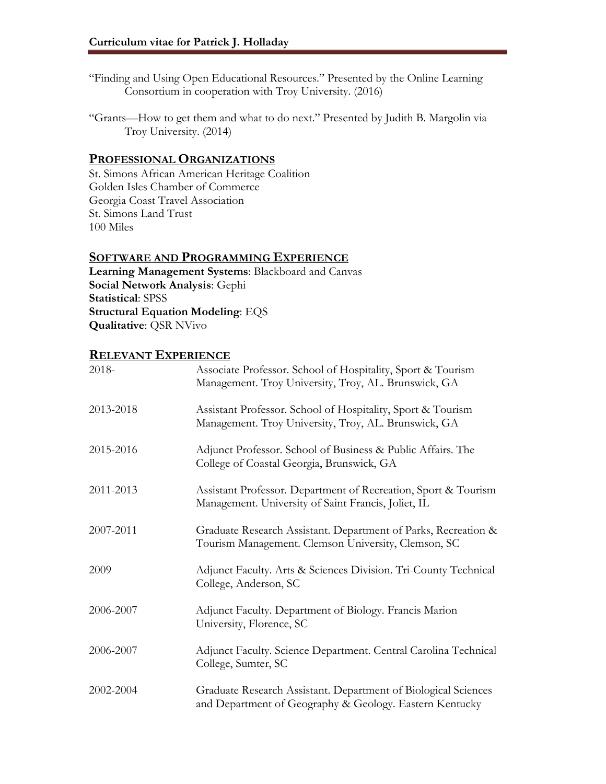- "Finding and Using Open Educational Resources." Presented by the Online Learning Consortium in cooperation with Troy University. (2016)
- "Grants—How to get them and what to do next." Presented by Judith B. Margolin via Troy University. (2014)

## **PROFESSIONAL ORGANIZATIONS**

St. Simons African American Heritage Coalition Golden Isles Chamber of Commerce Georgia Coast Travel Association St. Simons Land Trust 100 Miles

### **SOFTWARE AND PROGRAMMING EXPERIENCE**

**Learning Management Systems**: Blackboard and Canvas **Social Network Analysis**: Gephi **Statistical**: SPSS **Structural Equation Modeling**: EQS **Qualitative**: QSR NVivo

## **RELEVANT EXPERIENCE**

| 2018-     | Associate Professor. School of Hospitality, Sport & Tourism<br>Management. Troy University, Troy, AL. Brunswick, GA       |
|-----------|---------------------------------------------------------------------------------------------------------------------------|
| 2013-2018 | Assistant Professor. School of Hospitality, Sport & Tourism<br>Management. Troy University, Troy, AL. Brunswick, GA       |
| 2015-2016 | Adjunct Professor. School of Business & Public Affairs. The<br>College of Coastal Georgia, Brunswick, GA                  |
| 2011-2013 | Assistant Professor. Department of Recreation, Sport & Tourism<br>Management. University of Saint Francis, Joliet, IL     |
| 2007-2011 | Graduate Research Assistant. Department of Parks, Recreation &<br>Tourism Management. Clemson University, Clemson, SC     |
| 2009      | Adjunct Faculty. Arts & Sciences Division. Tri-County Technical<br>College, Anderson, SC                                  |
| 2006-2007 | Adjunct Faculty. Department of Biology. Francis Marion<br>University, Florence, SC                                        |
| 2006-2007 | Adjunct Faculty. Science Department. Central Carolina Technical<br>College, Sumter, SC                                    |
| 2002-2004 | Graduate Research Assistant. Department of Biological Sciences<br>and Department of Geography & Geology. Eastern Kentucky |